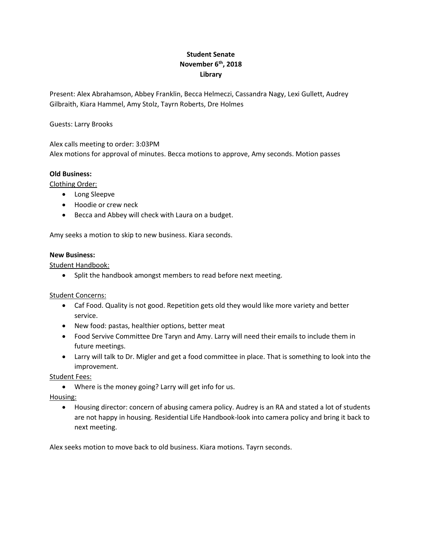# **Student Senate November 6th, 2018 Library**

Present: Alex Abrahamson, Abbey Franklin, Becca Helmeczi, Cassandra Nagy, Lexi Gullett, Audrey Gilbraith, Kiara Hammel, Amy Stolz, Tayrn Roberts, Dre Holmes

## Guests: Larry Brooks

Alex calls meeting to order: 3:03PM Alex motions for approval of minutes. Becca motions to approve, Amy seconds. Motion passes

## **Old Business:**

Clothing Order:

- Long Sleepve
- Hoodie or crew neck
- Becca and Abbey will check with Laura on a budget.

Amy seeks a motion to skip to new business. Kiara seconds.

#### **New Business:**

Student Handbook:

• Split the handbook amongst members to read before next meeting.

Student Concerns:

- Caf Food. Quality is not good. Repetition gets old they would like more variety and better service.
- New food: pastas, healthier options, better meat
- Food Servive Committee Dre Taryn and Amy. Larry will need their emails to include them in future meetings.
- Larry will talk to Dr. Migler and get a food committee in place. That is something to look into the improvement.

Student Fees:

Where is the money going? Larry will get info for us.

Housing:

 Housing director: concern of abusing camera policy. Audrey is an RA and stated a lot of students are not happy in housing. Residential Life Handbook-look into camera policy and bring it back to next meeting.

Alex seeks motion to move back to old business. Kiara motions. Tayrn seconds.